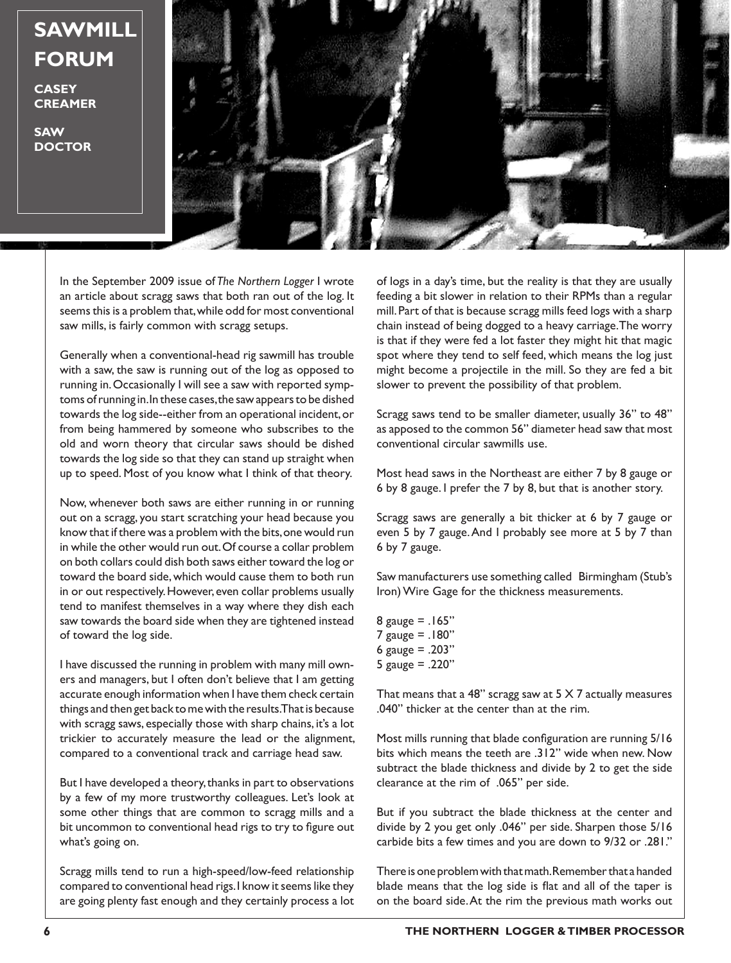**SAWMILL FORUM**

**CASEY CREAMER**

**SAW DOCTOR**



In the September 2009 issue of *The Northern Logger* I wrote an article about scragg saws that both ran out of the log. It seems this is a problem that, while odd for most conventional saw mills, is fairly common with scragg setups.

Generally when a conventional-head rig sawmill has trouble with a saw, the saw is running out of the log as opposed to running in. Occasionally I will see a saw with reported symptoms of running in. In these cases, the saw appears to be dished towards the log side--either from an operational incident, or from being hammered by someone who subscribes to the old and worn theory that circular saws should be dished towards the log side so that they can stand up straight when up to speed. Most of you know what I think of that theory.

Now, whenever both saws are either running in or running out on a scragg, you start scratching your head because you know that if there was a problem with the bits, one would run in while the other would run out. Of course a collar problem on both collars could dish both saws either toward the log or toward the board side, which would cause them to both run in or out respectively. However, even collar problems usually tend to manifest themselves in a way where they dish each saw towards the board side when they are tightened instead of toward the log side.

I have discussed the running in problem with many mill owners and managers, but I often don't believe that I am getting accurate enough information when I have them check certain things and then get back to me with the results. That is because with scragg saws, especially those with sharp chains, it's a lot trickier to accurately measure the lead or the alignment, compared to a conventional track and carriage head saw.

But I have developed a theory, thanks in part to observations by a few of my more trustworthy colleagues. Let's look at some other things that are common to scragg mills and a bit uncommon to conventional head rigs to try to figure out what's going on.

Scragg mills tend to run a high-speed/low-feed relationship compared to conventional head rigs. I know it seems like they are going plenty fast enough and they certainly process a lot

of logs in a day's time, but the reality is that they are usually feeding a bit slower in relation to their RPMs than a regular mill. Part of that is because scragg mills feed logs with a sharp chain instead of being dogged to a heavy carriage. The worry is that if they were fed a lot faster they might hit that magic spot where they tend to self feed, which means the log just might become a projectile in the mill. So they are fed a bit slower to prevent the possibility of that problem.

Scragg saws tend to be smaller diameter, usually 36" to 48" as apposed to the common 56" diameter head saw that most conventional circular sawmills use.

Most head saws in the Northeast are either 7 by 8 gauge or 6 by 8 gauge. I prefer the 7 by 8, but that is another story.

Scragg saws are generally a bit thicker at 6 by 7 gauge or even 5 by 7 gauge. And I probably see more at 5 by 7 than 6 by 7 gauge.

Saw manufacturers use something called Birmingham (Stub's Iron) Wire Gage for the thickness measurements.

8 gauge =  $.165"$ 7 gauge = .180" 6 gauge =  $.203"$ 5 gauge = .220"

That means that a 48" scragg saw at  $5 \times 7$  actually measures .040" thicker at the center than at the rim.

Most mills running that blade configuration are running 5/16 bits which means the teeth are .312" wide when new. Now subtract the blade thickness and divide by 2 to get the side clearance at the rim of .065" per side.

But if you subtract the blade thickness at the center and divide by 2 you get only .046" per side. Sharpen those 5/16 carbide bits a few times and you are down to 9/32 or .281."

There is one problem with that math. Remember that a handed blade means that the log side is flat and all of the taper is on the board side. At the rim the previous math works out